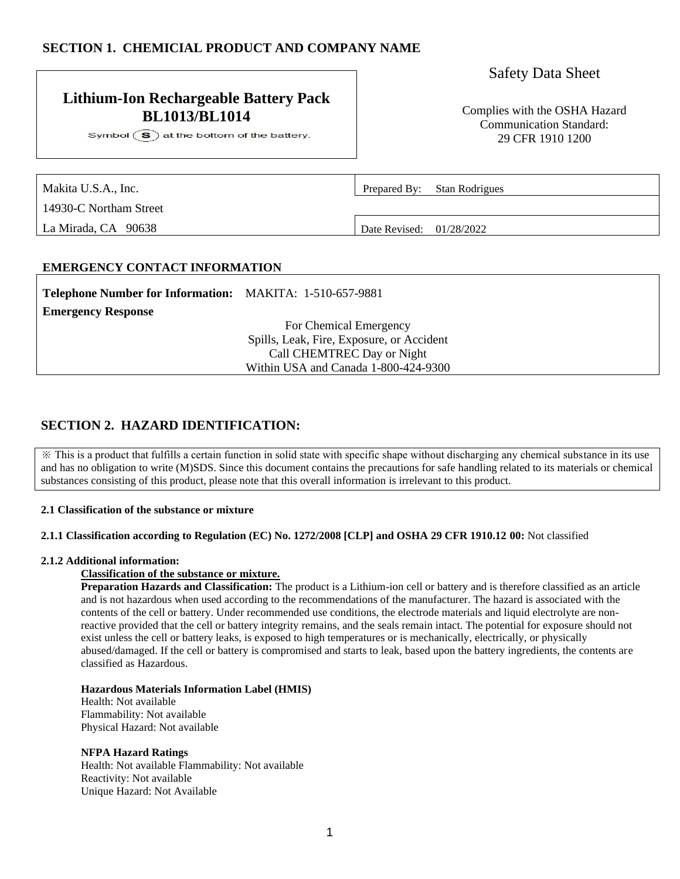# **SECTION 1. CHEMICIAL PRODUCT AND COMPANY NAME**

# **Lithium-Ion Rechargeable Battery Pack BL1013/BL1014** Complies with the OSHA Hazard

Symbol  $\circled{S}$  at the bottom of the battery.

# Safety Data Sheet

Communication Standard: 29 CFR 1910 1200

| Makita U.S.A., Inc.    | Prepared By: Stan Rodrigues |
|------------------------|-----------------------------|
| 14930-C Northam Street |                             |
| La Mirada, CA 90638    | Date Revised: 01/28/2022    |

### **EMERGENCY CONTACT INFORMATION**

| <b>Telephone Number for Information:</b> MAKITA: 1-510-657-9881 |                                           |
|-----------------------------------------------------------------|-------------------------------------------|
| <b>Emergency Response</b>                                       |                                           |
|                                                                 | For Chemical Emergency                    |
|                                                                 | Spills, Leak, Fire, Exposure, or Accident |
|                                                                 | Call CHEMTREC Day or Night                |
|                                                                 | Within USA and Canada 1-800-424-9300      |
|                                                                 |                                           |

# **SECTION 2. HAZARD IDENTIFICATION:**

※ This is a product that fulfills a certain function in solid state with specific shape without discharging any chemical substance in its use and has no obligation to write (M)SDS. Since this document contains the precautions for safe handling related to its materials or chemical substances consisting of this product, please note that this overall information is irrelevant to this product.

### **2.1 Classification of the substance or mixture**

#### **2.1.1 Classification according to Regulation (EC) No. 1272/2008 [CLP] and OSHA 29 CFR 1910.12 00:** Not classified

#### **2.1.2 Additional information:**

### **Classification of the substance or mixture.**

**Preparation Hazards and Classification:** The product is a Lithium-ion cell or battery and is therefore classified as an article and is not hazardous when used according to the recommendations of the manufacturer. The hazard is associated with the contents of the cell or battery. Under recommended use conditions, the electrode materials and liquid electrolyte are nonreactive provided that the cell or battery integrity remains, and the seals remain intact. The potential for exposure should not exist unless the cell or battery leaks, is exposed to high temperatures or is mechanically, electrically, or physically abused/damaged. If the cell or battery is compromised and starts to leak, based upon the battery ingredients, the contents are classified as Hazardous.

#### **Hazardous Materials Information Label (HMIS)**

Health: Not available Flammability: Not available Physical Hazard: Not available

#### **NFPA Hazard Ratings**

Health: Not available Flammability: Not available Reactivity: Not available Unique Hazard: Not Available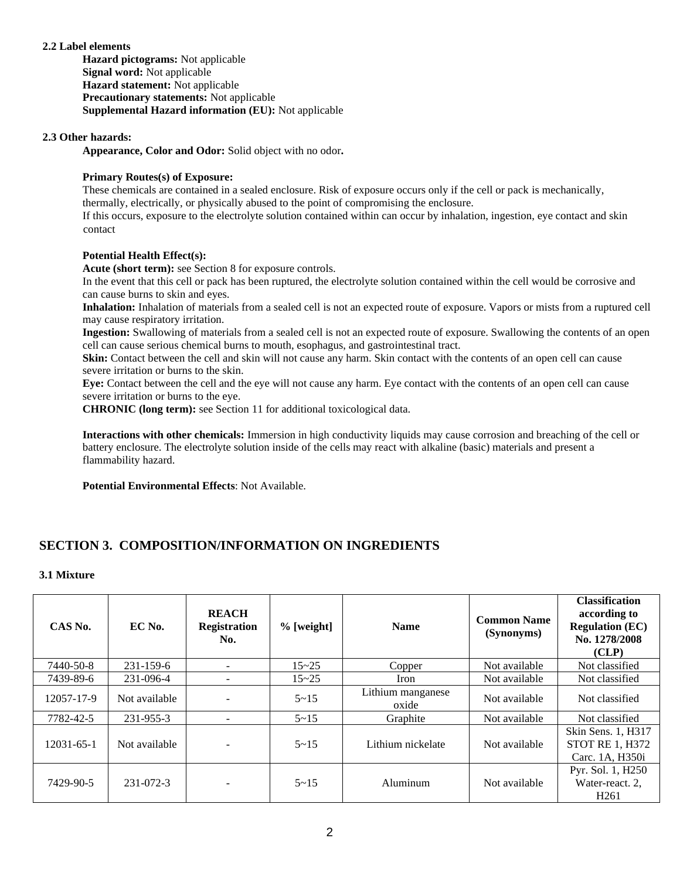### **2.2 Label elements**

**Hazard pictograms:** Not applicable **Signal word:** Not applicable **Hazard statement:** Not applicable **Precautionary statements:** Not applicable **Supplemental Hazard information (EU):** Not applicable

### **2.3 Other hazards:**

**Appearance, Color and Odor:** Solid object with no odor**.**

### **Primary Routes(s) of Exposure:**

These chemicals are contained in a sealed enclosure. Risk of exposure occurs only if the cell or pack is mechanically, thermally, electrically, or physically abused to the point of compromising the enclosure.

If this occurs, exposure to the electrolyte solution contained within can occur by inhalation, ingestion, eye contact and skin contact

#### **Potential Health Effect(s):**

**Acute (short term):** see Section 8 for exposure controls.

In the event that this cell or pack has been ruptured, the electrolyte solution contained within the cell would be corrosive and can cause burns to skin and eyes.

**Inhalation:** Inhalation of materials from a sealed cell is not an expected route of exposure. Vapors or mists from a ruptured cell may cause respiratory irritation.

**Ingestion:** Swallowing of materials from a sealed cell is not an expected route of exposure. Swallowing the contents of an open cell can cause serious chemical burns to mouth, esophagus, and gastrointestinal tract.

**Skin:** Contact between the cell and skin will not cause any harm. Skin contact with the contents of an open cell can cause severe irritation or burns to the skin.

**Eye:** Contact between the cell and the eye will not cause any harm. Eye contact with the contents of an open cell can cause severe irritation or burns to the eye.

**CHRONIC (long term):** see Section 11 for additional toxicological data.

**Interactions with other chemicals:** Immersion in high conductivity liquids may cause corrosion and breaching of the cell or battery enclosure. The electrolyte solution inside of the cells may react with alkaline (basic) materials and present a flammability hazard.

**Potential Environmental Effects**: Not Available.

# **SECTION 3. COMPOSITION/INFORMATION ON INGREDIENTS**

### **3.1 Mixture**

| CAS No.    | EC No.        | <b>REACH</b><br><b>Registration</b><br>No. | $%$ [weight] | <b>Name</b>                | <b>Common Name</b><br>(Synonyms) | <b>Classification</b><br>according to<br><b>Regulation (EC)</b><br>No. 1278/2008<br>(CLP) |
|------------|---------------|--------------------------------------------|--------------|----------------------------|----------------------------------|-------------------------------------------------------------------------------------------|
| 7440-50-8  | 231-159-6     | -                                          | $15 - 25$    | Copper                     | Not available                    | Not classified                                                                            |
| 7439-89-6  | 231-096-4     | -                                          | $15 - 25$    | Iron                       | Not available                    | Not classified                                                                            |
| 12057-17-9 | Not available |                                            | $5 - 15$     | Lithium manganese<br>oxide | Not available                    | Not classified                                                                            |
| 7782-42-5  | 231-955-3     | $\overline{\phantom{0}}$                   | $5 - 15$     | Graphite                   | Not available                    | Not classified                                                                            |
| 12031-65-1 | Not available |                                            | $5 - 15$     | Lithium nickelate          | Not available                    | Skin Sens. 1, H317<br><b>STOT RE 1, H372</b><br>Carc. 1A. H350i                           |
| 7429-90-5  | 231-072-3     |                                            | $5 - 15$     | Aluminum                   | Not available                    | Pyr. Sol. 1, H250<br>Water-react. 2,<br>H <sub>261</sub>                                  |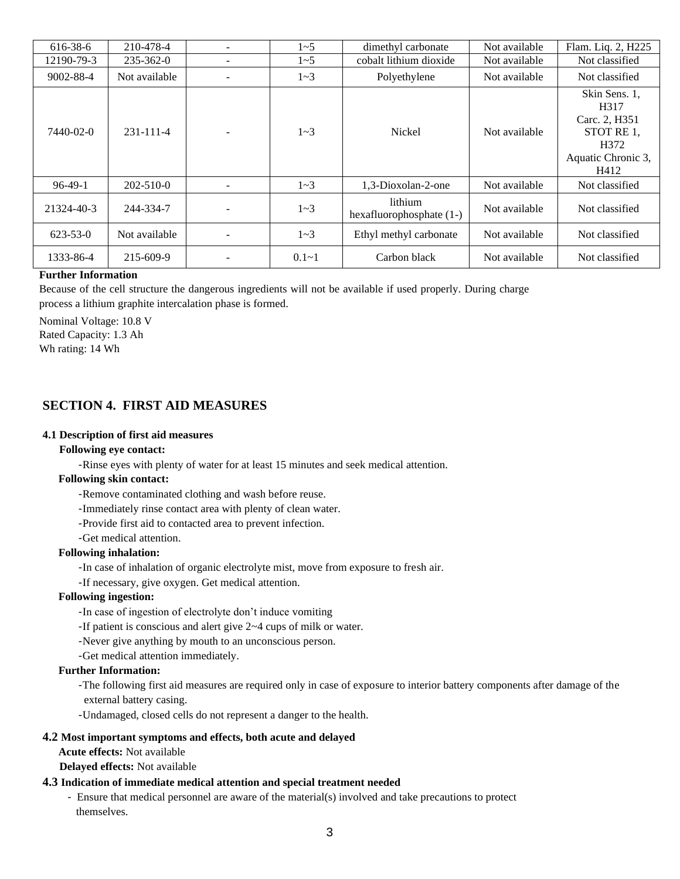| 616-38-6       | 210-478-4       | $1 - 5$   | dimethyl carbonate                  | Not available | Flam. Liq. 2, H225                                                                                      |
|----------------|-----------------|-----------|-------------------------------------|---------------|---------------------------------------------------------------------------------------------------------|
| 12190-79-3     | $235 - 362 - 0$ | $1 - 5$   | cobalt lithium dioxide              | Not available | Not classified                                                                                          |
| 9002-88-4      | Not available   | $1 - 3$   | Polyethylene                        | Not available | Not classified                                                                                          |
| 7440-02-0      | $231 - 111 - 4$ | $1 - 3$   | <b>Nickel</b>                       | Not available | Skin Sens. 1,<br>H <sub>3</sub> 17<br>Carc. 2, H351<br>STOT RE 1,<br>H372<br>Aquatic Chronic 3,<br>H412 |
| $96-49-1$      | $202 - 510 - 0$ | $1 - 3$   | 1,3-Dioxolan-2-one                  | Not available | Not classified                                                                                          |
| 21324-40-3     | 244-334-7       | $1 - 3$   | lithium<br>hexafluorophosphate (1-) | Not available | Not classified                                                                                          |
| $623 - 53 - 0$ | Not available   | $1 - 3$   | Ethyl methyl carbonate              | Not available | Not classified                                                                                          |
| 1333-86-4      | 215-609-9       | $0.1 - 1$ | Carbon black                        | Not available | Not classified                                                                                          |

#### **Further Information**

Because of the cell structure the dangerous ingredients will not be available if used properly. During charge process a lithium graphite intercalation phase is formed.

Nominal Voltage: 10.8 V Rated Capacity: 1.3 Ah Wh rating: 14 Wh

# **SECTION 4. FIRST AID MEASURES**

### **4.1 Description of first aid measures**

#### **Following eye contact:**

-Rinse eyes with plenty of water for at least 15 minutes and seek medical attention.

### **Following skin contact:**

-Remove contaminated clothing and wash before reuse.

- -Immediately rinse contact area with plenty of clean water.
- -Provide first aid to contacted area to prevent infection.
- -Get medical attention.

### **Following inhalation:**

-In case of inhalation of organic electrolyte mist, move from exposure to fresh air.

-If necessary, give oxygen. Get medical attention.

### **Following ingestion:**

-In case of ingestion of electrolyte don't induce vomiting

- -If patient is conscious and alert give 2~4 cups of milk or water.
- -Never give anything by mouth to an unconscious person.
- -Get medical attention immediately.

### **Further Information:**

-The following first aid measures are required only in case of exposure to interior battery components after damage of the external battery casing.

-Undamaged, closed cells do not represent a danger to the health.

#### **4.2 Most important symptoms and effects, both acute and delayed**

**Acute effects:** Not available

 **Delayed effects:** Not available

### **4.3 Indication of immediate medical attention and special treatment needed**

- Ensure that medical personnel are aware of the material(s) involved and take precautions to protect themselves.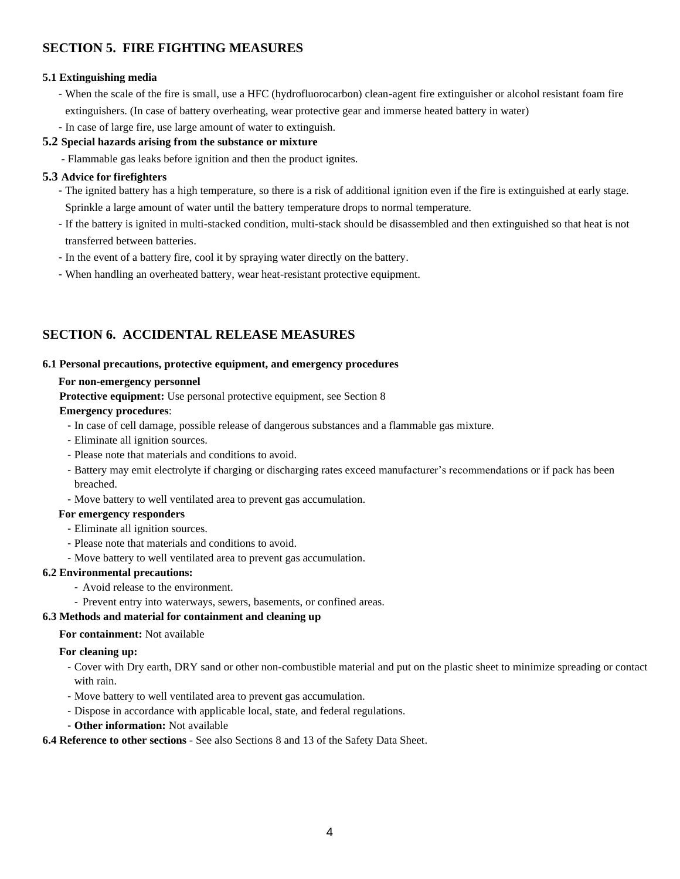# **SECTION 5. FIRE FIGHTING MEASURES**

### **5.1 Extinguishing media**

- When the scale of the fire is small, use a HFC (hydrofluorocarbon) clean-agent fire extinguisher or alcohol resistant foam fire extinguishers. (In case of battery overheating, wear protective gear and immerse heated battery in water)

## - In case of large fire, use large amount of water to extinguish.

### **5.2 Special hazards arising from the substance or mixture**

- Flammable gas leaks before ignition and then the product ignites.

## **5.3 Advice for firefighters**

- The ignited battery has a high temperature, so there is a risk of additional ignition even if the fire is extinguished at early stage. Sprinkle a large amount of water until the battery temperature drops to normal temperature.
- If the battery is ignited in multi-stacked condition, multi-stack should be disassembled and then extinguished so that heat is not transferred between batteries.
- In the event of a battery fire, cool it by spraying water directly on the battery.
- When handling an overheated battery, wear heat-resistant protective equipment.

# **SECTION 6. ACCIDENTAL RELEASE MEASURES**

### **6.1 Personal precautions, protective equipment, and emergency procedures**

### **For non-emergency personnel**

**Protective equipment:** Use personal protective equipment, see Section 8

### **Emergency procedures**:

- In case of cell damage, possible release of dangerous substances and a flammable gas mixture.
- Eliminate all ignition sources.
- Please note that materials and conditions to avoid.
- Battery may emit electrolyte if charging or discharging rates exceed manufacturer's recommendations or if pack has been breached.
- Move battery to well ventilated area to prevent gas accumulation.

### **For emergency responders**

- Eliminate all ignition sources.
- Please note that materials and conditions to avoid.
- Move battery to well ventilated area to prevent gas accumulation.

# **6.2 Environmental precautions:**

- Avoid release to the environment.
- Prevent entry into waterways, sewers, basements, or confined areas.

## **6.3 Methods and material for containment and cleaning up**

### **For containment:** Not available

### **For cleaning up:**

- Cover with Dry earth, DRY sand or other non-combustible material and put on the plastic sheet to minimize spreading or contact with rain.

- Move battery to well ventilated area to prevent gas accumulation.
- Dispose in accordance with applicable local, state, and federal regulations.
- **Other information:** Not available

### **6.4 Reference to other sections** - See also Sections 8 and 13 of the Safety Data Sheet.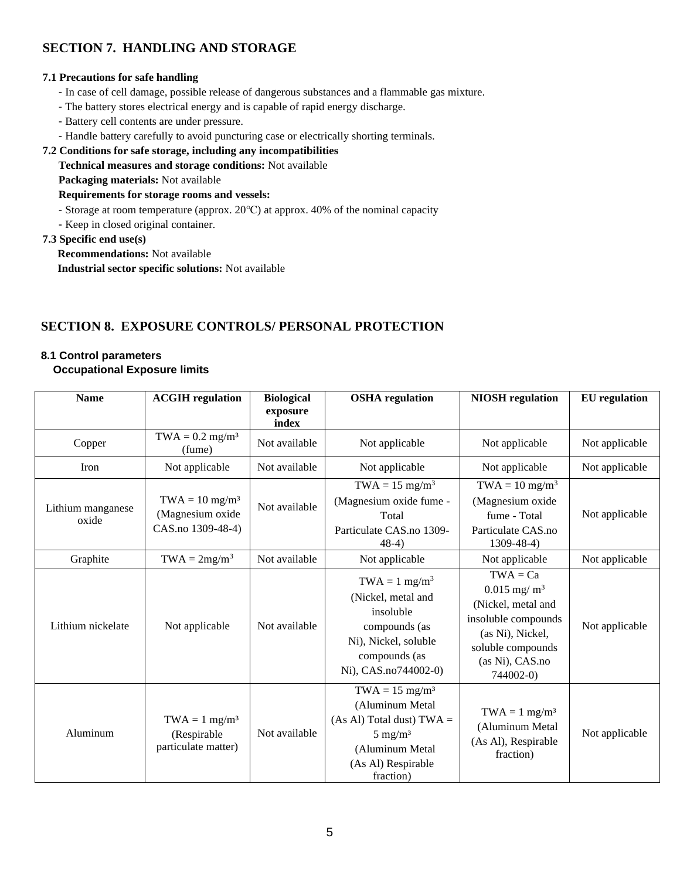# **SECTION 7. HANDLING AND STORAGE**

## **7.1 Precautions for safe handling**

- In case of cell damage, possible release of dangerous substances and a flammable gas mixture.
- The battery stores electrical energy and is capable of rapid energy discharge.
- Battery cell contents are under pressure.
- Handle battery carefully to avoid puncturing case or electrically shorting terminals.

## **7.2 Conditions for safe storage, including any incompatibilities**

**Technical measures and storage conditions:** Not available

**Packaging materials:** Not available

# **Requirements for storage rooms and vessels:**

- Storage at room temperature (approx. 20℃) at approx. 40% of the nominal capacity
- Keep in closed original container.

## **7.3 Specific end use(s)**

**Recommendations:** Not available **Industrial sector specific solutions:** Not available

# **SECTION 8. EXPOSURE CONTROLS/ PERSONAL PROTECTION**

# **8.1 Control parameters**

# **Occupational Exposure limits**

| <b>Name</b>                | <b>ACGIH</b> regulation                                               | <b>Biological</b><br>exposure<br>index | <b>OSHA</b> regulation                                                                                                                                     | <b>NIOSH</b> regulation                                                                                                                                       | <b>EU</b> regulation |
|----------------------------|-----------------------------------------------------------------------|----------------------------------------|------------------------------------------------------------------------------------------------------------------------------------------------------------|---------------------------------------------------------------------------------------------------------------------------------------------------------------|----------------------|
| Copper                     | $TWA = 0.2$ mg/m <sup>3</sup><br>(fume)                               | Not available                          | Not applicable                                                                                                                                             | Not applicable                                                                                                                                                | Not applicable       |
| Iron                       | Not applicable                                                        | Not available                          | Not applicable                                                                                                                                             | Not applicable                                                                                                                                                | Not applicable       |
| Lithium manganese<br>oxide | $TWA = 10$ mg/m <sup>3</sup><br>(Magnesium oxide<br>CAS.no 1309-48-4) | Not available                          | $TWA = 15$ mg/m <sup>3</sup><br>(Magnesium oxide fume -<br>Total<br>Particulate CAS.no 1309-<br>$48-4)$                                                    | $TWA = 10$ mg/m <sup>3</sup><br>(Magnesium oxide<br>fume - Total<br>Particulate CAS.no<br>$1309 - 48 - 4$ )                                                   | Not applicable       |
| Graphite                   | $TWA = 2mg/m3$                                                        | Not available                          | Not applicable                                                                                                                                             | Not applicable                                                                                                                                                | Not applicable       |
| Lithium nickelate          | Not applicable                                                        | Not available                          | $TWA = 1$ mg/m <sup>3</sup><br>(Nickel, metal and<br>insoluble<br>compounds (as<br>Ni), Nickel, soluble<br>compounds (as<br>Ni), CAS.no744002-0)           | $TWA = Ca$<br>$0.015$ mg/m <sup>3</sup><br>(Nickel, metal and<br>insoluble compounds<br>(as Ni), Nickel,<br>soluble compounds<br>(as Ni), CAS.no<br>744002-0) | Not applicable       |
| Aluminum                   | $TWA = 1$ mg/m <sup>3</sup><br>(Respirable<br>particulate matter)     | Not available                          | $TWA = 15$ mg/m <sup>3</sup><br>(Aluminum Metal<br>$(As Al) Total dust) TWA =$<br>$5 \text{ mg/m}^3$<br>(Aluminum Metal<br>(As Al) Respirable<br>fraction) | $TWA = 1$ mg/m <sup>3</sup><br>(Aluminum Metal<br>(As Al), Respirable<br>fraction)                                                                            | Not applicable       |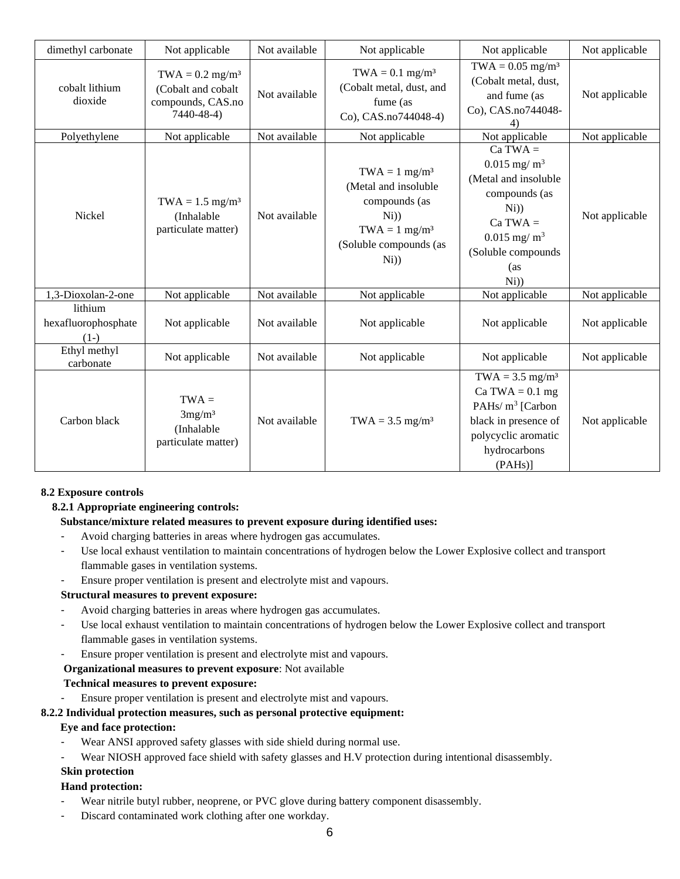| dimethyl carbonate                       | Not applicable                                                                         | Not available | Not applicable                                                                                                                                    | Not applicable                                                                                                                                                                | Not applicable |
|------------------------------------------|----------------------------------------------------------------------------------------|---------------|---------------------------------------------------------------------------------------------------------------------------------------------------|-------------------------------------------------------------------------------------------------------------------------------------------------------------------------------|----------------|
| cobalt lithium<br>dioxide                | $TWA = 0.2$ mg/m <sup>3</sup><br>(Cobalt and cobalt<br>compounds, CAS.no<br>7440-48-4) | Not available | $TWA = 0.1$ mg/m <sup>3</sup><br>(Cobalt metal, dust, and<br>fume (as<br>Co), CAS.no744048-4)                                                     | $TWA = 0.05$ mg/m <sup>3</sup><br>(Cobalt metal, dust,<br>and fume (as<br>Co), CAS.no744048-<br>4)                                                                            | Not applicable |
| Polyethylene                             | Not applicable                                                                         | Not available | Not applicable                                                                                                                                    | Not applicable                                                                                                                                                                | Not applicable |
| Nickel                                   | $TWA = 1.5$ mg/m <sup>3</sup><br>(Inhalable<br>particulate matter)                     | Not available | $TWA = 1$ mg/m <sup>3</sup><br>(Metal and insoluble<br>compounds (as<br>$Ni$ )<br>$TWA = 1$ mg/m <sup>3</sup><br>(Soluble compounds (as<br>$N_i)$ | $Ca TWA =$<br>$0.015$ mg/ $\mathrm{m}^3$<br>(Metal and insoluble<br>compounds (as<br>$N_i)$<br>$Ca TWA =$<br>$0.015$ mg/m <sup>3</sup><br>(Soluble compounds<br>(as<br>$Ni$ ) | Not applicable |
| 1,3-Dioxolan-2-one                       | Not applicable                                                                         | Not available | Not applicable                                                                                                                                    | Not applicable                                                                                                                                                                | Not applicable |
| lithium<br>hexafluorophosphate<br>$(1-)$ | Not applicable                                                                         | Not available | Not applicable                                                                                                                                    | Not applicable                                                                                                                                                                | Not applicable |
| Ethyl methyl<br>carbonate                | Not applicable                                                                         | Not available | Not applicable                                                                                                                                    | Not applicable                                                                                                                                                                | Not applicable |
| Carbon black                             | $TWA =$<br>3mg/m <sup>3</sup><br>(Inhalable<br>particulate matter)                     | Not available | $TWA = 3.5$ mg/m <sup>3</sup>                                                                                                                     | $TWA = 3.5$ mg/m <sup>3</sup><br>Ca TWA $= 0.1$ mg<br>PAHs/ $m^3$ [Carbon<br>black in presence of<br>polycyclic aromatic<br>hydrocarbons<br>$(PAHs)$ ]                        | Not applicable |

# **8.2 Exposure controls**

# **8.2.1 Appropriate engineering controls:**

### **Substance/mixture related measures to prevent exposure during identified uses:**

- Avoid charging batteries in areas where hydrogen gas accumulates.
- Use local exhaust ventilation to maintain concentrations of hydrogen below the Lower Explosive collect and transport flammable gases in ventilation systems.
- Ensure proper ventilation is present and electrolyte mist and vapours.

### **Structural measures to prevent exposure:**

- Avoid charging batteries in areas where hydrogen gas accumulates.
- Use local exhaust ventilation to maintain concentrations of hydrogen below the Lower Explosive collect and transport flammable gases in ventilation systems.
- Ensure proper ventilation is present and electrolyte mist and vapours.

### **Organizational measures to prevent exposure**: Not available

### **Technical measures to prevent exposure:**

Ensure proper ventilation is present and electrolyte mist and vapours.

### **8.2.2 Individual protection measures, such as personal protective equipment:**

### **Eye and face protection:**

- Wear ANSI approved safety glasses with side shield during normal use.
- Wear NIOSH approved face shield with safety glasses and H.V protection during intentional disassembly.

# **Skin protection**

# **Hand protection:**

- Wear nitrile butyl rubber, neoprene, or PVC glove during battery component disassembly.
- Discard contaminated work clothing after one workday.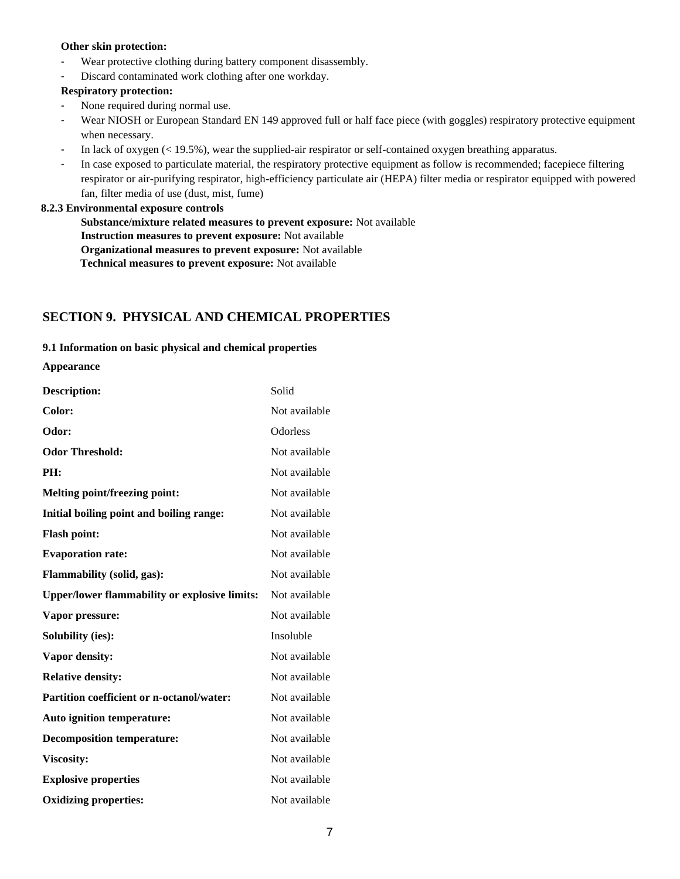### **Other skin protection:**

- Wear protective clothing during battery component disassembly.
- Discard contaminated work clothing after one workday.

### **Respiratory protection:**

- None required during normal use.
- Wear NIOSH or European Standard EN 149 approved full or half face piece (with goggles) respiratory protective equipment when necessary.
- In lack of oxygen (< 19.5%), wear the supplied-air respirator or self-contained oxygen breathing apparatus.
- In case exposed to particulate material, the respiratory protective equipment as follow is recommended; facepiece filtering respirator or air-purifying respirator, high-efficiency particulate air (HEPA) filter media or respirator equipped with powered fan, filter media of use (dust, mist, fume)

### **8.2.3 Environmental exposure controls**

**Substance/mixture related measures to prevent exposure:** Not available **Instruction measures to prevent exposure:** Not available **Organizational measures to prevent exposure:** Not available **Technical measures to prevent exposure:** Not available

# **SECTION 9. PHYSICAL AND CHEMICAL PROPERTIES**

# **9.1 Information on basic physical and chemical properties**

## **Appearance**

| <b>Description:</b>                                  | Solid         |
|------------------------------------------------------|---------------|
| Color:                                               | Not available |
| Odor:                                                | Odorless      |
| <b>Odor Threshold:</b>                               | Not available |
| PH:                                                  | Not available |
| <b>Melting point/freezing point:</b>                 | Not available |
| Initial boiling point and boiling range:             | Not available |
| <b>Flash point:</b>                                  | Not available |
| <b>Evaporation rate:</b>                             | Not available |
| <b>Flammability (solid, gas):</b>                    | Not available |
| <b>Upper/lower flammability or explosive limits:</b> | Not available |
| Vapor pressure:                                      | Not available |
| <b>Solubility (ies):</b>                             | Insoluble     |
| Vapor density:                                       | Not available |
| <b>Relative density:</b>                             | Not available |
| Partition coefficient or n-octanol/water:            | Not available |
| Auto ignition temperature:                           | Not available |
| <b>Decomposition temperature:</b>                    | Not available |
| <b>Viscosity:</b>                                    | Not available |
| <b>Explosive properties</b>                          | Not available |
| <b>Oxidizing properties:</b>                         | Not available |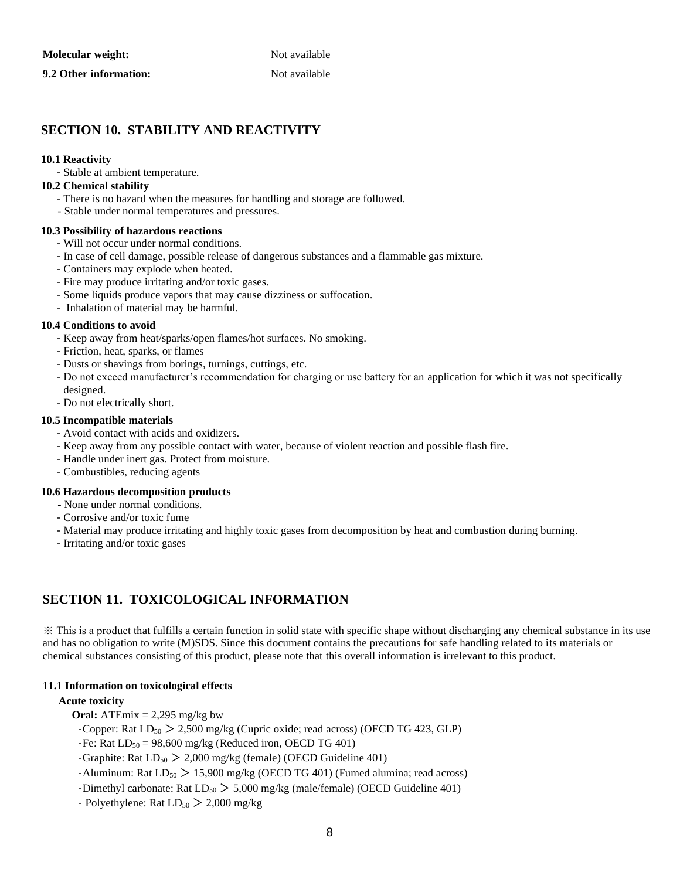| Molecular weight:      | Not available |
|------------------------|---------------|
| 9.2 Other information: | Not available |

# **SECTION 10. STABILITY AND REACTIVITY**

### **10.1 Reactivity**

- Stable at ambient temperature.

### **10.2 Chemical stability**

- There is no hazard when the measures for handling and storage are followed.
- Stable under normal temperatures and pressures.

#### **10.3 Possibility of hazardous reactions**

- Will not occur under normal conditions.
- In case of cell damage, possible release of dangerous substances and a flammable gas mixture.
- Containers may explode when heated.
- Fire may produce irritating and/or toxic gases.
- Some liquids produce vapors that may cause dizziness or suffocation.
- Inhalation of material may be harmful.

#### **10.4 Conditions to avoid**

- Keep away from heat/sparks/open flames/hot surfaces. No smoking.
- Friction, heat, sparks, or flames
- Dusts or shavings from borings, turnings, cuttings, etc.
- Do not exceed manufacturer's recommendation for charging or use battery for an application for which it was not specifically designed.
- Do not electrically short.

#### **10.5 Incompatible materials**

- Avoid contact with acids and oxidizers.
- Keep away from any possible contact with water, because of violent reaction and possible flash fire.
- Handle under inert gas. Protect from moisture.
- Combustibles, reducing agents

#### **10.6 Hazardous decomposition products**

- **-** None under normal conditions.
- Corrosive and/or toxic fume
- Material may produce irritating and highly toxic gases from decomposition by heat and combustion during burning.
- Irritating and/or toxic gases

# **SECTION 11. TOXICOLOGICAL INFORMATION**

※ This is a product that fulfills a certain function in solid state with specific shape without discharging any chemical substance in its use and has no obligation to write (M)SDS. Since this document contains the precautions for safe handling related to its materials or chemical substances consisting of this product, please note that this overall information is irrelevant to this product.

### **11.1 Information on toxicological effects**

### **Acute toxicity**

**Oral:** ATEmix  $= 2,295$  mg/kg bw

-Copper: Rat  $LD_{50}$  > 2,500 mg/kg (Cupric oxide; read across) (OECD TG 423, GLP)

-Fe: Rat  $LD_{50} = 98,600$  mg/kg (Reduced iron, OECD TG 401)

- -Graphite: Rat  $LD_{50}$   $>$  2,000 mg/kg (female) (OECD Guideline 401)
- -Aluminum: Rat  $LD_{50}$  > 15,900 mg/kg (OECD TG 401) (Fumed alumina; read across)
- -Dimethyl carbonate: Rat  $LD_{50}$  > 5,000 mg/kg (male/female) (OECD Guideline 401)
- Polyethylene: Rat  $LD_{50}$  > 2,000 mg/kg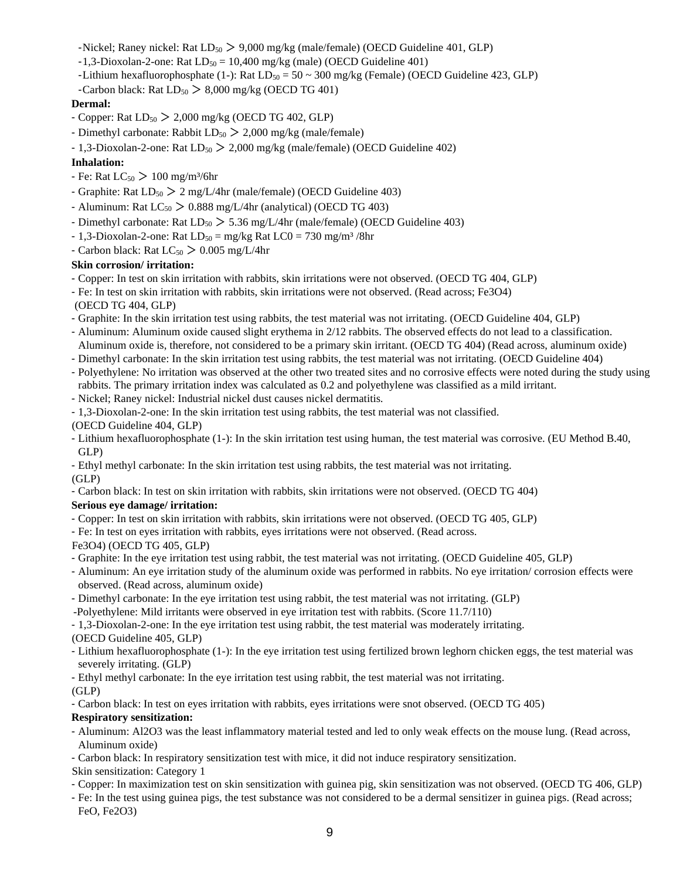-Nickel; Raney nickel: Rat  $LD_{50}$   $>$  9,000 mg/kg (male/female) (OECD Guideline 401, GLP)

- $-1,3-Dioxolan-2-one: Rat LD<sub>50</sub> = 10,400 mg/kg (male) (OECD Guideline 401)$
- -Lithium hexafluorophosphate (1-): Rat  $LD_{50} = 50 \sim 300$  mg/kg (Female) (OECD Guideline 423, GLP)
- -Carbon black: Rat  $LD_{50} > 8,000$  mg/kg (OECD TG 401)

# **Dermal:**

- Copper: Rat  $LD_{50}$   $>$  2,000 mg/kg (OECD TG 402, GLP)
- Dimethyl carbonate: Rabbit  $LD_{50}$   $>$  2,000 mg/kg (male/female)
- 1,3-Dioxolan-2-one: Rat  $LD_{50}$  > 2,000 mg/kg (male/female) (OECD Guideline 402)

### **Inhalation:**

- Fe: Rat  $LC_{50}$  > 100 mg/m<sup>3</sup>/6hr
- Graphite: Rat  $LD_{50}$  > 2 mg/L/4hr (male/female) (OECD Guideline 403)
- Aluminum: Rat  $LC_{50}$   $> 0.888$  mg/L/4hr (analytical) (OECD TG 403)
- Dimethyl carbonate: Rat  $LD_{50}$  > 5.36 mg/L/4hr (male/female) (OECD Guideline 403)
- 1,3-Dioxolan-2-one: Rat  $LD_{50} = mg/kg$  Rat  $LC0 = 730$  mg/m<sup>3</sup>/8hr
- Carbon black: Rat  $LC_{50}$   $> 0.005$  mg/L/4hr

### **Skin corrosion/ irritation:**

- Copper: In test on skin irritation with rabbits, skin irritations were not observed. (OECD TG 404, GLP)
- Fe: In test on skin irritation with rabbits, skin irritations were not observed. (Read across; Fe3O4)
- (OECD TG 404, GLP)
- Graphite: In the skin irritation test using rabbits, the test material was not irritating. (OECD Guideline 404, GLP)
- Aluminum: Aluminum oxide caused slight erythema in 2/12 rabbits. The observed effects do not lead to a classification. Aluminum oxide is, therefore, not considered to be a primary skin irritant. (OECD TG 404) (Read across, aluminum oxide)
- Dimethyl carbonate: In the skin irritation test using rabbits, the test material was not irritating. (OECD Guideline 404)
- Polyethylene: No irritation was observed at the other two treated sites and no corrosive effects were noted during the study using rabbits. The primary irritation index was calculated as 0.2 and polyethylene was classified as a mild irritant.
- Nickel; Raney nickel: Industrial nickel dust causes nickel dermatitis.
- 1,3-Dioxolan-2-one: In the skin irritation test using rabbits, the test material was not classified.
- (OECD Guideline 404, GLP)
- Lithium hexafluorophosphate (1-): In the skin irritation test using human, the test material was corrosive. (EU Method B.40, GLP)
- Ethyl methyl carbonate: In the skin irritation test using rabbits, the test material was not irritating. (GLP)
- Carbon black: In test on skin irritation with rabbits, skin irritations were not observed. (OECD TG 404)

### **Serious eye damage/ irritation:**

- Copper: In test on skin irritation with rabbits, skin irritations were not observed. (OECD TG 405, GLP)
- Fe: In test on eyes irritation with rabbits, eyes irritations were not observed. (Read across.
- Fe3O4) (OECD TG 405, GLP)
- Graphite: In the eye irritation test using rabbit, the test material was not irritating. (OECD Guideline 405, GLP)
- Aluminum: An eye irritation study of the aluminum oxide was performed in rabbits. No eye irritation/ corrosion effects were observed. (Read across, aluminum oxide)
- Dimethyl carbonate: In the eye irritation test using rabbit, the test material was not irritating. (GLP)
- -Polyethylene: Mild irritants were observed in eye irritation test with rabbits. (Score 11.7/110)
- 1,3-Dioxolan-2-one: In the eye irritation test using rabbit, the test material was moderately irritating.

### (OECD Guideline 405, GLP)

- Lithium hexafluorophosphate (1-): In the eye irritation test using fertilized brown leghorn chicken eggs, the test material was severely irritating. (GLP)

- Ethyl methyl carbonate: In the eye irritation test using rabbit, the test material was not irritating.

### $(GLP)$

- Carbon black: In test on eyes irritation with rabbits, eyes irritations were snot observed. (OECD TG 405)

# **Respiratory sensitization:**

- Aluminum: Al2O3 was the least inflammatory material tested and led to only weak effects on the mouse lung. (Read across, Aluminum oxide)
- Carbon black: In respiratory sensitization test with mice, it did not induce respiratory sensitization.

Skin sensitization: Category 1

- Copper: In maximization test on skin sensitization with guinea pig, skin sensitization was not observed. (OECD TG 406, GLP)
- Fe: In the test using guinea pigs, the test substance was not considered to be a dermal sensitizer in guinea pigs. (Read across; FeO, Fe2O3)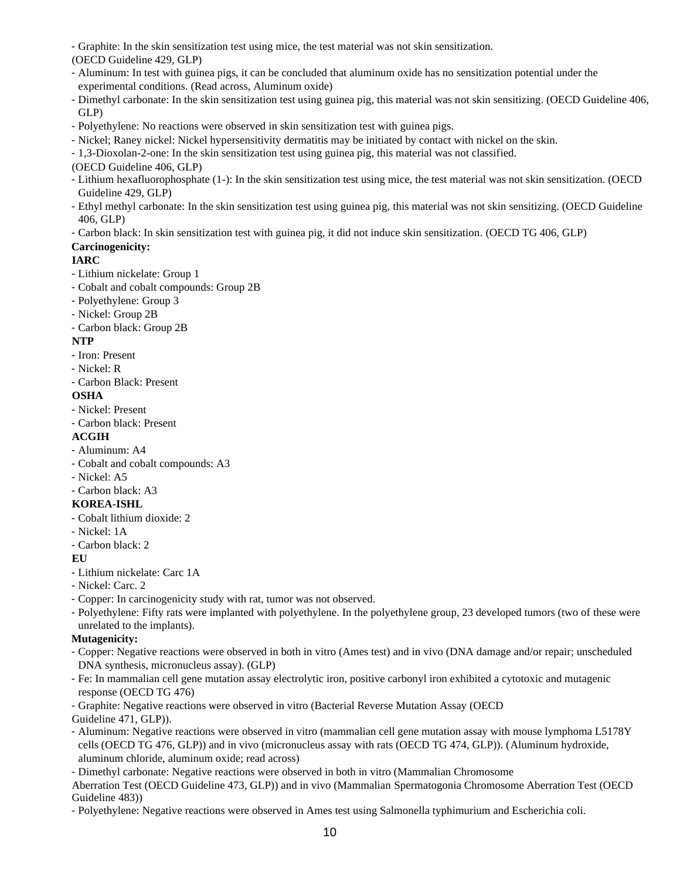- Graphite: In the skin sensitization test using mice, the test material was not skin sensitization.

(OECD Guideline 429, GLP)

- Aluminum: In test with guinea pigs, it can be concluded that aluminum oxide has no sensitization potential under the experimental conditions. (Read across, Aluminum oxide)
- Dimethyl carbonate: In the skin sensitization test using guinea pig, this material was not skin sensitizing. (OECD Guideline 406, GLP)
- Polyethylene: No reactions were observed in skin sensitization test with guinea pigs.
- Nickel; Raney nickel: Nickel hypersensitivity dermatitis may be initiated by contact with nickel on the skin.
- 1,3-Dioxolan-2-one: In the skin sensitization test using guinea pig, this material was not classified.
- (OECD Guideline 406, GLP)
- Lithium hexafluorophosphate (1-): In the skin sensitization test using mice, the test material was not skin sensitization. (OECD Guideline 429, GLP)
- Ethyl methyl carbonate: In the skin sensitization test using guinea pig, this material was not skin sensitizing. (OECD Guideline 406, GLP)
- Carbon black: In skin sensitization test with guinea pig, it did not induce skin sensitization. (OECD TG 406, GLP)

# **Carcinogenicity:**

# **IARC**

- Lithium nickelate: Group 1
- Cobalt and cobalt compounds: Group 2B
- Polyethylene: Group 3
- Nickel: Group 2B
- Carbon black: Group 2B

# **NTP**

- Iron: Present
- Nickel: R
- Carbon Black: Present

# **OSHA**

- Nickel: Present
- Carbon black: Present

# **ACGIH**

- Aluminum: A4
- Cobalt and cobalt compounds: A3
- Nickel: A5
- Carbon black: A3

# **KOREA-ISHL**

- Cobalt lithium dioxide: 2
- Nickel: 1A
- Carbon black: 2

# **EU**

- Lithium nickelate: Carc 1A
- Nickel: Carc. 2
- Copper: In carcinogenicity study with rat, tumor was not observed.
- Polyethylene: Fifty rats were implanted with polyethylene. In the polyethylene group, 23 developed tumors (two of these were unrelated to the implants).

# **Mutagenicity:**

- Copper: Negative reactions were observed in both in vitro (Ames test) and in vivo (DNA damage and/or repair; unscheduled DNA synthesis, micronucleus assay). (GLP)
- Fe: In mammalian cell gene mutation assay electrolytic iron, positive carbonyl iron exhibited a cytotoxic and mutagenic response (OECD TG 476)

- Graphite: Negative reactions were observed in vitro (Bacterial Reverse Mutation Assay (OECD Guideline 471, GLP)).

- Aluminum: Negative reactions were observed in vitro (mammalian cell gene mutation assay with mouse lymphoma L5178Y cells (OECD TG 476, GLP)) and in vivo (micronucleus assay with rats (OECD TG 474, GLP)). (Aluminum hydroxide, aluminum chloride, aluminum oxide; read across)
- Dimethyl carbonate: Negative reactions were observed in both in vitro (Mammalian Chromosome

Aberration Test (OECD Guideline 473, GLP)) and in vivo (Mammalian Spermatogonia Chromosome Aberration Test (OECD Guideline 483))

- Polyethylene: Negative reactions were observed in Ames test using Salmonella typhimurium and Escherichia coli.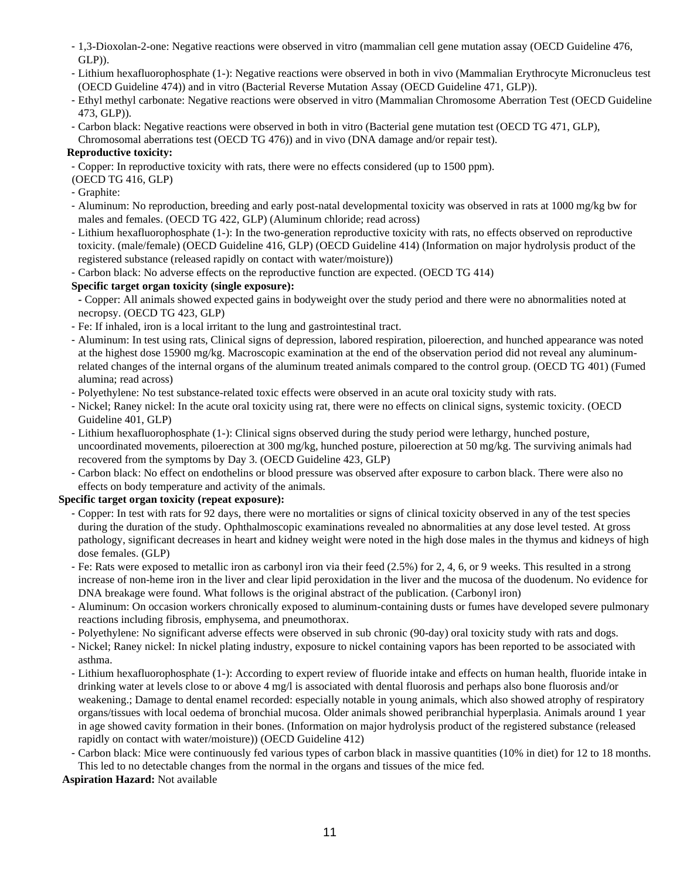- 1,3-Dioxolan-2-one: Negative reactions were observed in vitro (mammalian cell gene mutation assay (OECD Guideline 476, GLP)).
- Lithium hexafluorophosphate (1-): Negative reactions were observed in both in vivo (Mammalian Erythrocyte Micronucleus test (OECD Guideline 474)) and in vitro (Bacterial Reverse Mutation Assay (OECD Guideline 471, GLP)).
- Ethyl methyl carbonate: Negative reactions were observed in vitro (Mammalian Chromosome Aberration Test (OECD Guideline 473, GLP)).
- Carbon black: Negative reactions were observed in both in vitro (Bacterial gene mutation test (OECD TG 471, GLP), Chromosomal aberrations test (OECD TG 476)) and in vivo (DNA damage and/or repair test).

# **Reproductive toxicity:**

- Copper: In reproductive toxicity with rats, there were no effects considered (up to 1500 ppm).

### (OECD TG 416, GLP)

- Graphite:
- Aluminum: No reproduction, breeding and early post-natal developmental toxicity was observed in rats at 1000 mg/kg bw for males and females. (OECD TG 422, GLP) (Aluminum chloride; read across)
- Lithium hexafluorophosphate (1-): In the two-generation reproductive toxicity with rats, no effects observed on reproductive toxicity. (male/female) (OECD Guideline 416, GLP) (OECD Guideline 414) (Information on major hydrolysis product of the registered substance (released rapidly on contact with water/moisture))
- Carbon black: No adverse effects on the reproductive function are expected. (OECD TG 414)

### **Specific target organ toxicity (single exposure):**

- **-** Copper: All animals showed expected gains in bodyweight over the study period and there were no abnormalities noted at necropsy. (OECD TG 423, GLP)
- Fe: If inhaled, iron is a local irritant to the lung and gastrointestinal tract.
- Aluminum: In test using rats, Clinical signs of depression, labored respiration, piloerection, and hunched appearance was noted at the highest dose 15900 mg/kg. Macroscopic examination at the end of the observation period did not reveal any aluminumrelated changes of the internal organs of the aluminum treated animals compared to the control group. (OECD TG 401) (Fumed alumina; read across)
- Polyethylene: No test substance-related toxic effects were observed in an acute oral toxicity study with rats.
- Nickel; Raney nickel: In the acute oral toxicity using rat, there were no effects on clinical signs, systemic toxicity. (OECD Guideline 401, GLP)
- Lithium hexafluorophosphate (1-): Clinical signs observed during the study period were lethargy, hunched posture, uncoordinated movements, piloerection at 300 mg/kg, hunched posture, piloerection at 50 mg/kg. The surviving animals had recovered from the symptoms by Day 3. (OECD Guideline 423, GLP)
- Carbon black: No effect on endothelins or blood pressure was observed after exposure to carbon black. There were also no effects on body temperature and activity of the animals.

# **Specific target organ toxicity (repeat exposure):**

- Copper: In test with rats for 92 days, there were no mortalities or signs of clinical toxicity observed in any of the test species during the duration of the study. Ophthalmoscopic examinations revealed no abnormalities at any dose level tested. At gross pathology, significant decreases in heart and kidney weight were noted in the high dose males in the thymus and kidneys of high dose females. (GLP)
- Fe: Rats were exposed to metallic iron as carbonyl iron via their feed (2.5%) for 2, 4, 6, or 9 weeks. This resulted in a strong increase of non-heme iron in the liver and clear lipid peroxidation in the liver and the mucosa of the duodenum. No evidence for DNA breakage were found. What follows is the original abstract of the publication. (Carbonyl iron)
- Aluminum: On occasion workers chronically exposed to aluminum-containing dusts or fumes have developed severe pulmonary reactions including fibrosis, emphysema, and pneumothorax.
- Polyethylene: No significant adverse effects were observed in sub chronic (90-day) oral toxicity study with rats and dogs.
- Nickel; Raney nickel: In nickel plating industry, exposure to nickel containing vapors has been reported to be associated with asthma.
- Lithium hexafluorophosphate (1-): According to expert review of fluoride intake and effects on human health, fluoride intake in drinking water at levels close to or above 4 mg/l is associated with dental fluorosis and perhaps also bone fluorosis and/or weakening.; Damage to dental enamel recorded: especially notable in young animals, which also showed atrophy of respiratory organs/tissues with local oedema of bronchial mucosa. Older animals showed peribranchial hyperplasia. Animals around 1 year in age showed cavity formation in their bones. (Information on major hydrolysis product of the registered substance (released rapidly on contact with water/moisture)) (OECD Guideline 412)
- Carbon black: Mice were continuously fed various types of carbon black in massive quantities (10% in diet) for 12 to 18 months. This led to no detectable changes from the normal in the organs and tissues of the mice fed.

 **Aspiration Hazard:** Not available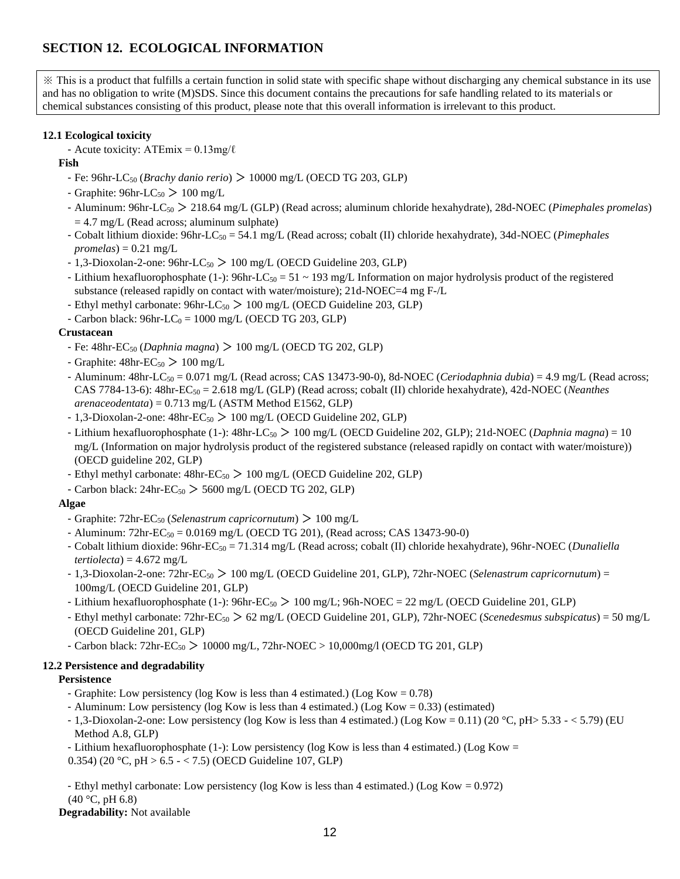# **SECTION 12. ECOLOGICAL INFORMATION**

※ This is a product that fulfills a certain function in solid state with specific shape without discharging any chemical substance in its use and has no obligation to write (M)SDS. Since this document contains the precautions for safe handling related to its materials or chemical substances consisting of this product, please note that this overall information is irrelevant to this product.

# **12.1 Ecological toxicity**

- Acute toxicity:  $ATEmix = 0.13mg/\ell$
- **Fish** 
	- Fe: 96hr-LC<sup>50</sup> (*Brachy danio rerio*) > 10000 mg/L (OECD TG 203, GLP)
	- Graphite:  $96hr-LC_{50} > 100 mg/L$
	- Aluminum: 96hr-LC<sup>50</sup> > 218.64 mg/L (GLP) (Read across; aluminum chloride hexahydrate), 28d-NOEC (*Pimephales promelas*)  $= 4.7$  mg/L (Read across; aluminum sulphate)
	- Cobalt lithium dioxide: 96hr-LC<sup>50</sup> = 54.1 mg/L (Read across; cobalt (II) chloride hexahydrate), 34d-NOEC (*Pimephales*   $promelas$ ) = 0.21 mg/L
	- $-1,3$ -Dioxolan-2-one: 96hr-LC<sub>50</sub> > 100 mg/L (OECD Guideline 203, GLP)
	- Lithium hexafluorophosphate (1-): 96hr-LC<sub>50</sub> = 51 ~ 193 mg/L Information on major hydrolysis product of the registered substance (released rapidly on contact with water/moisture); 21d-NOEC=4 mg F-/L
	- Ethyl methyl carbonate:  $96$ hr-LC<sub>50</sub> > 100 mg/L (OECD Guideline 203, GLP)
	- Carbon black:  $96hr$ - $LC_0 = 1000$  mg/L (OECD TG 203, GLP)

# **Crustacean**

- Fe: 48hr-EC<sup>50</sup> (*Daphnia magna*) > 100 mg/L (OECD TG 202, GLP)
- Graphite:  $48$ hr-EC<sub>50</sub> > 100 mg/L
- Aluminum: 48hr-LC<sup>50</sup> = 0.071 mg/L (Read across; CAS 13473-90-0), 8d-NOEC (*Ceriodaphnia dubia*) = 4.9 mg/L (Read across; CAS 7784-13-6): 48hr-EC<sub>50</sub> = 2.618 mg/L (GLP) (Read across; cobalt (II) chloride hexahydrate), 42d-NOEC (*Neanthes arenaceodentata*) = 0.713 mg/L (ASTM Method E1562, GLP)
- 1,3-Dioxolan-2-one:  $48hr-EC_{50} > 100$  mg/L (OECD Guideline 202, GLP)
- Lithium hexafluorophosphate (1-): 48hr-LC<sup>50</sup> > 100 mg/L (OECD Guideline 202, GLP); 21d-NOEC (*Daphnia magna*) = 10 mg/L (Information on major hydrolysis product of the registered substance (released rapidly on contact with water/moisture)) (OECD guideline 202, GLP)
- Ethyl methyl carbonate:  $48\text{hr-EC}_{50} > 100 \text{ mg/L}$  (OECD Guideline 202, GLP)
- Carbon black:  $24$ hr-EC<sub>50</sub> > 5600 mg/L (OECD TG 202, GLP)

# **Algae**

- Graphite: 72hr-EC<sup>50</sup> (*Selenastrum capricornutum*) > 100 mg/L
- Aluminum:  $72$ hr-EC<sub>50</sub> = 0.0169 mg/L (OECD TG 201), (Read across; CAS 13473-90-0)
- Cobalt lithium dioxide: 96hr-EC<sup>50</sup> = 71.314 mg/L (Read across; cobalt (II) chloride hexahydrate), 96hr-NOEC (*Dunaliella*   $tertiolecta$ ) = 4.672 mg/L
- 1,3-Dioxolan-2-one: 72hr-EC<sup>50</sup> > 100 mg/L (OECD Guideline 201, GLP), 72hr-NOEC (*Selenastrum capricornutum*) = 100mg/L (OECD Guideline 201, GLP)
- Lithium hexafluorophosphate (1-): 96hr-EC<sup>50</sup> > 100 mg/L; 96h-NOEC = 22 mg/L (OECD Guideline 201, GLP)
- Ethyl methyl carbonate: 72hr-EC<sub>50</sub> > 62 mg/L (OECD Guideline 201, GLP), 72hr-NOEC (*Scenedesmus subspicatus*) = 50 mg/L (OECD Guideline 201, GLP)
- Carbon black:  $72\text{hr-EC}_{50} > 10000 \text{ mg/L}$ ,  $72\text{hr-NOEC} > 10,000 \text{ mg/l}$  (OECD TG 201, GLP)

# **12.2 Persistence and degradability**

# **Persistence**

- Graphite: Low persistency (log Kow is less than 4 estimated.) (Log Kow = 0.78)
- Aluminum: Low persistency (log Kow is less than 4 estimated.) (Log Kow = 0.33) (estimated)
- 1,3-Dioxolan-2-one: Low persistency (log Kow is less than 4 estimated.) (Log Kow = 0.11) (20 °C, pH> 5.33 < 5.79) (EU Method A.8, GLP)
- Lithium hexafluorophosphate (1-): Low persistency (log Kow is less than 4 estimated.) (Log Kow =
- 0.354) (20 °C, pH > 6.5 < 7.5) (OECD Guideline 107, GLP)

- Ethyl methyl carbonate: Low persistency (log Kow is less than 4 estimated.) (Log Kow = 0.972)

 $(40 °C, pH 6.8)$ 

**Degradability:** Not available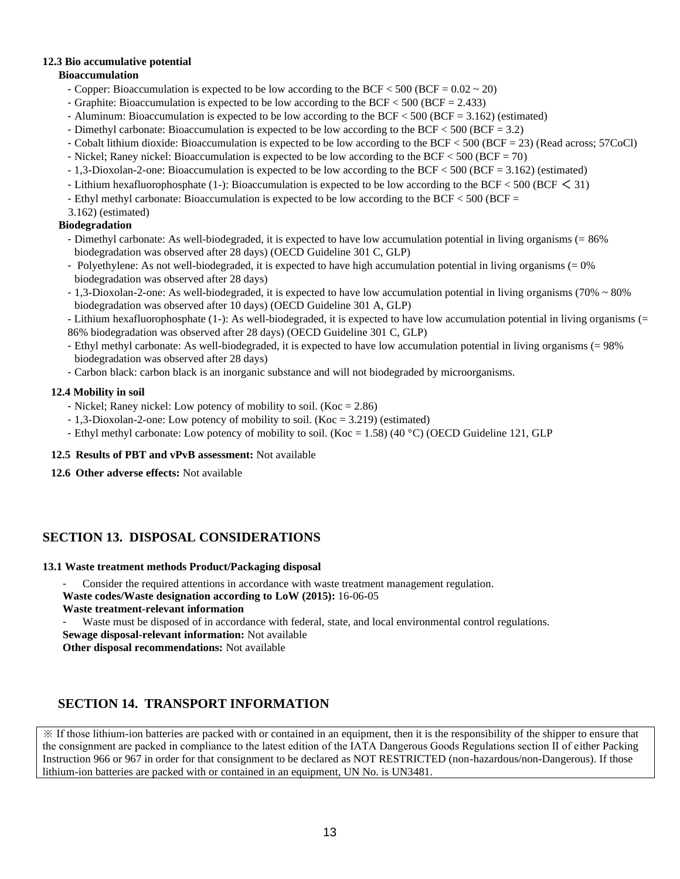# **12.3 Bio accumulative potential**

### **Bioaccumulation**

- Copper: Bioaccumulation is expected to be low according to the BCF  $<$  500 (BCF = 0.02  $\sim$  20)
- Graphite: Bioaccumulation is expected to be low according to the BCF < 500 (BCF = 2.433)
- Aluminum: Bioaccumulation is expected to be low according to the BCF < 500 (BCF = 3.162) (estimated)
- Dimethyl carbonate: Bioaccumulation is expected to be low according to the BCF < 500 (BCF = 3.2)
- Cobalt lithium dioxide: Bioaccumulation is expected to be low according to the BCF < 500 (BCF = 23) (Read across; 57CoCl)
- Nickel; Raney nickel: Bioaccumulation is expected to be low according to the BCF < 500 (BCF = 70)
- 1,3-Dioxolan-2-one: Bioaccumulation is expected to be low according to the BCF < 500 (BCF = 3.162) (estimated)
- Lithium hexafluorophosphate (1-): Bioaccumulation is expected to be low according to the BCF < 500 (BCF < 31)
- Ethyl methyl carbonate: Bioaccumulation is expected to be low according to the BCF < 500 (BCF =
- 3.162) (estimated)

## **Biodegradation**

- Dimethyl carbonate: As well-biodegraded, it is expected to have low accumulation potential in living organisms (= 86% biodegradation was observed after 28 days) (OECD Guideline 301 C, GLP)
- Polyethylene: As not well-biodegraded, it is expected to have high accumulation potential in living organisms  $(= 0\%$ biodegradation was observed after 28 days)
- 1,3-Dioxolan-2-one: As well-biodegraded, it is expected to have low accumulation potential in living organisms (70% ~ 80% biodegradation was observed after 10 days) (OECD Guideline 301 A, GLP)
- Lithium hexafluorophosphate (1-): As well-biodegraded, it is expected to have low accumulation potential in living organisms (= 86% biodegradation was observed after 28 days) (OECD Guideline 301 C, GLP)
- Ethyl methyl carbonate: As well-biodegraded, it is expected to have low accumulation potential in living organisms (= 98% biodegradation was observed after 28 days)
- Carbon black: carbon black is an inorganic substance and will not biodegraded by microorganisms.

#### **12.4 Mobility in soil**

- Nickel; Raney nickel: Low potency of mobility to soil.  $(Koc = 2.86)$
- 1,3-Dioxolan-2-one: Low potency of mobility to soil. (Koc = 3.219) (estimated)
- Ethyl methyl carbonate: Low potency of mobility to soil. (Koc = 1.58) (40 °C) (OECD Guideline 121, GLP

### **12.5 Results of PBT and vPvB assessment:** Not available

**12.6 Other adverse effects:** Not available

# **SECTION 13. DISPOSAL CONSIDERATIONS**

#### **13.1 Waste treatment methods Product/Packaging disposal**

Consider the required attentions in accordance with waste treatment management regulation.

- **Waste codes/Waste designation according to LoW (2015):** 16-06-05
- **Waste treatment-relevant information**

Waste must be disposed of in accordance with federal, state, and local environmental control regulations.

**Sewage disposal-relevant information:** Not available

**Other disposal recommendations:** Not available

# **SECTION 14. TRANSPORT INFORMATION**

※ If those lithium-ion batteries are packed with or contained in an equipment, then it is the responsibility of the shipper to ensure that the consignment are packed in compliance to the latest edition of the IATA Dangerous Goods Regulations section Ⅱ of either Packing Instruction 966 or 967 in order for that consignment to be declared as NOT RESTRICTED (non-hazardous/non-Dangerous). If those lithium-ion batteries are packed with or contained in an equipment, UN No. is UN3481.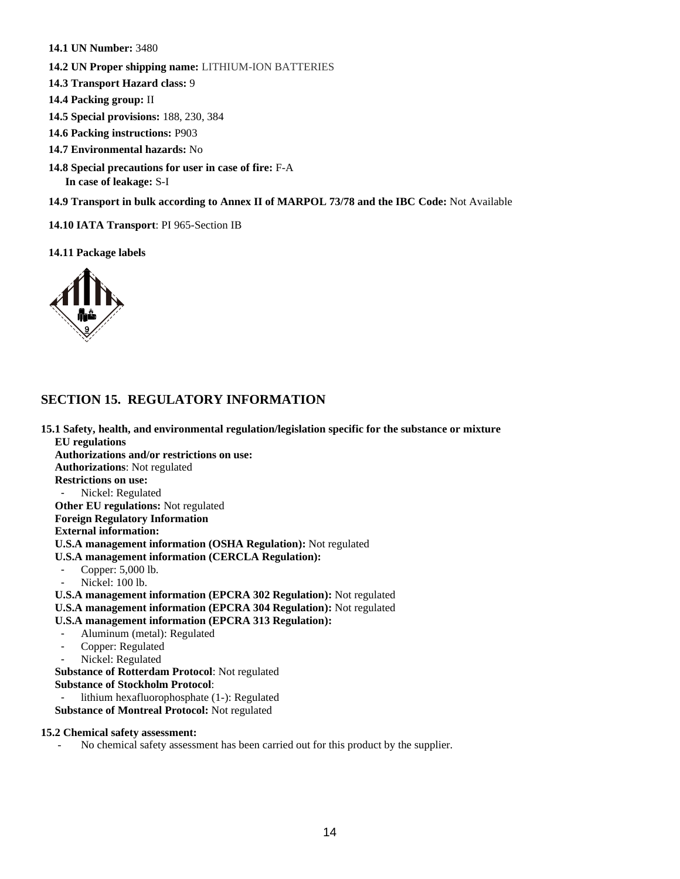- **14.1 UN Number:** 3480
- **14.2 UN Proper shipping name:** LITHIUM-ION BATTERIES
- **14.3 Transport Hazard class:** 9
- **14.4 Packing group:** II
- **14.5 Special provisions:** 188, 230, 384
- **14.6 Packing instructions:** P903
- **14.7 Environmental hazards:** No
- **14.8 Special precautions for user in case of fire:** F-A **In case of leakage:** S-I
- **14.9 Transport in bulk according to Annex II of MARPOL 73/78 and the IBC Code:** Not Available
- **14.10 IATA Transport**: PI 965-Section IB

**14.11 Package labels** 



# **SECTION 15. REGULATORY INFORMATION**

**15.1 Safety, health, and environmental regulation/legislation specific for the substance or mixture EU regulations Authorizations and/or restrictions on use: Authorizations**: Not regulated  **Restrictions on use:** Nickel: Regulated  **Other EU regulations:** Not regulated  **Foreign Regulatory Information External information: U.S.A management information (OSHA Regulation):** Not regulated  **U.S.A management information (CERCLA Regulation):** Copper: 5,000 lb. Nickel: 100 lb.  **U.S.A management information (EPCRA 302 Regulation):** Not regulated  **U.S.A management information (EPCRA 304 Regulation):** Not regulated  **U.S.A management information (EPCRA 313 Regulation):** Aluminum (metal): Regulated - Copper: Regulated Nickel: Regulated  **Substance of Rotterdam Protocol**: Not regulated **Substance of Stockholm Protocol**: lithium hexafluorophosphate (1-): Regulated  **Substance of Montreal Protocol:** Not regulated **15.2 Chemical safety assessment:** 

No chemical safety assessment has been carried out for this product by the supplier.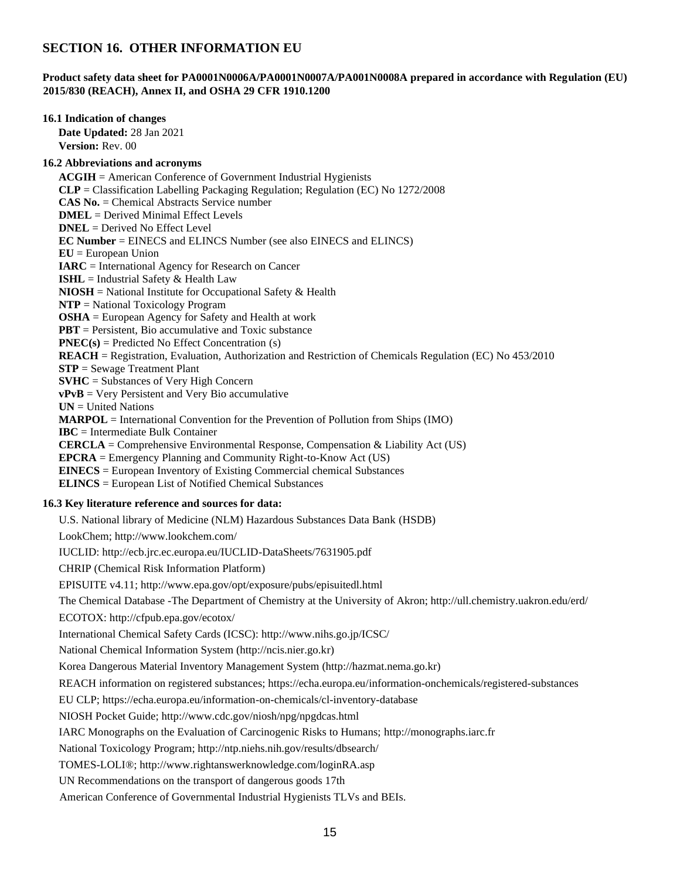# **SECTION 16. OTHER INFORMATION EU**

# **Product safety data sheet for PA0001N0006A/PA0001N0007A/PA001N0008A prepared in accordance with Regulation (EU) 2015/830 (REACH), Annex II, and OSHA 29 CFR 1910.1200**

| 16.1 Indication of changes<br>Date Updated: 28 Jan 2021                                                                                                                                                                                                                                                                                                                                                                                                                                                                                                                                                                                                                                                                                                                                                                                                                                                                                                                                                                                                               |  |
|-----------------------------------------------------------------------------------------------------------------------------------------------------------------------------------------------------------------------------------------------------------------------------------------------------------------------------------------------------------------------------------------------------------------------------------------------------------------------------------------------------------------------------------------------------------------------------------------------------------------------------------------------------------------------------------------------------------------------------------------------------------------------------------------------------------------------------------------------------------------------------------------------------------------------------------------------------------------------------------------------------------------------------------------------------------------------|--|
| Version: Rev. 00                                                                                                                                                                                                                                                                                                                                                                                                                                                                                                                                                                                                                                                                                                                                                                                                                                                                                                                                                                                                                                                      |  |
| <b>16.2 Abbreviations and acronyms</b>                                                                                                                                                                                                                                                                                                                                                                                                                                                                                                                                                                                                                                                                                                                                                                                                                                                                                                                                                                                                                                |  |
| $ACGIH =$ American Conference of Government Industrial Hygienists<br>$CLP = Classification$ Labelling Packaging Regulation; Regulation (EC) No 1272/2008<br><b>CAS No.</b> = Chemical Abstracts Service number<br>$DMEL = Derived \text{ Minimal Effect Levels}$<br>$DNEL = Derived No Effect Level$<br><b>EC Number</b> = EINECS and ELINCS Number (see also EINECS and ELINCS)                                                                                                                                                                                                                                                                                                                                                                                                                                                                                                                                                                                                                                                                                      |  |
| $EU = European Union$                                                                                                                                                                                                                                                                                                                                                                                                                                                                                                                                                                                                                                                                                                                                                                                                                                                                                                                                                                                                                                                 |  |
| $IARC = International Agency for Research on Cancer$<br><b>ISHL</b> = Industrial Safety $\&$ Health Law<br>$NIOSH = National Institute for Occupational Safety & Health$<br>$NTP = National Taxicology Program$<br><b>OSHA</b> = European Agency for Safety and Health at work<br>$PBT =$ Persistent, Bio accumulative and Toxic substance<br>$PNEC(s) = Predicted No Effect Concentration(s)$<br>REACH = Registration, Evaluation, Authorization and Restriction of Chemicals Regulation (EC) No 453/2010<br>$STP =$ Sewage Treatment Plant<br>$SVHC = Substances of Very High Concern$<br>$vPvB = Very$ Persistent and Very Bio accumulative<br>$UN = United Nations$<br>$MARDOL = International Convention for the Prevention of Pollution from Ships (IMO)$<br>$\text{IBC} = \text{Intermediate Bulk Container}$<br><b>CERCLA</b> = Comprehensive Environmental Response, Compensation & Liability Act (US)<br>$EPCRA =$ Emergency Planning and Community Right-to-Know Act (US)<br><b>EINECS</b> = European Inventory of Existing Commercial chemical Substances |  |
| <b>ELINCS</b> = European List of Notified Chemical Substances                                                                                                                                                                                                                                                                                                                                                                                                                                                                                                                                                                                                                                                                                                                                                                                                                                                                                                                                                                                                         |  |
| 16.3 Key literature reference and sources for data:                                                                                                                                                                                                                                                                                                                                                                                                                                                                                                                                                                                                                                                                                                                                                                                                                                                                                                                                                                                                                   |  |
| U.S. National library of Medicine (NLM) Hazardous Substances Data Bank (HSDB)                                                                                                                                                                                                                                                                                                                                                                                                                                                                                                                                                                                                                                                                                                                                                                                                                                                                                                                                                                                         |  |
| LookChem; http://www.lookchem.com/                                                                                                                                                                                                                                                                                                                                                                                                                                                                                                                                                                                                                                                                                                                                                                                                                                                                                                                                                                                                                                    |  |
| IUCLID: http://ecb.jrc.ec.europa.eu/IUCLID-DataSheets/7631905.pdf                                                                                                                                                                                                                                                                                                                                                                                                                                                                                                                                                                                                                                                                                                                                                                                                                                                                                                                                                                                                     |  |
| <b>CHRIP</b> (Chemical Risk Information Platform)<br>EPISUITE v4.11; http://www.epa.gov/opt/exposure/pubs/episuitedl.html                                                                                                                                                                                                                                                                                                                                                                                                                                                                                                                                                                                                                                                                                                                                                                                                                                                                                                                                             |  |
| The Chemical Database -The Department of Chemistry at the University of Akron; http://ull.chemistry.uakron.edu/erd/<br>ECOTOX: http://cfpub.epa.gov/ecotox/<br>International Chemical Safety Cards (ICSC): http://www.nihs.go.jp/ICSC/<br>National Chemical Information System (http://ncis.nier.go.kr)<br>Korea Dangerous Material Inventory Management System (http://hazmat.nema.go.kr)<br>REACH information on registered substances; https://echa.europa.eu/information-onchemicals/registered-substances<br>EU CLP; https://echa.europa.eu/information-on-chemicals/cl-inventory-database<br>NIOSH Pocket Guide; http://www.cdc.gov/niosh/npg/npgdcas.html<br>IARC Monographs on the Evaluation of Carcinogenic Risks to Humans; http://monographs.iarc.fr<br>National Toxicology Program; http://ntp.niehs.nih.gov/results/dbsearch/<br>TOMES-LOLI®; http://www.rightanswerknowledge.com/loginRA.asp                                                                                                                                                           |  |
| UN Recommendations on the transport of dangerous goods 17th<br>American Conference of Governmental Industrial Hygienists TLVs and BEIs.                                                                                                                                                                                                                                                                                                                                                                                                                                                                                                                                                                                                                                                                                                                                                                                                                                                                                                                               |  |
|                                                                                                                                                                                                                                                                                                                                                                                                                                                                                                                                                                                                                                                                                                                                                                                                                                                                                                                                                                                                                                                                       |  |